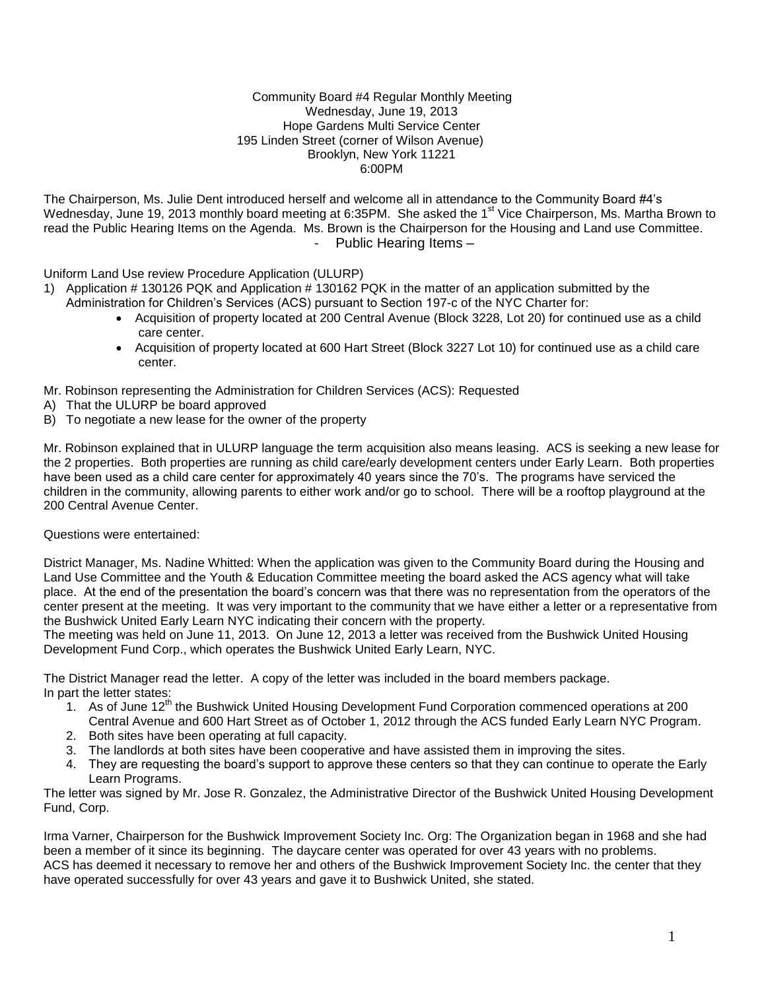### Community Board #4 Regular Monthly Meeting Wednesday, June 19, 2013 Hope Gardens Multi Service Center 195 Linden Street (corner of Wilson Avenue) Brooklyn, New York 11221 6:00PM

The Chairperson, Ms. Julie Dent introduced herself and welcome all in attendance to the Community Board #4's Wednesday, June 19, 2013 monthly board meeting at 6:35PM. She asked the 1<sup>st</sup> Vice Chairperson, Ms. Martha Brown to read the Public Hearing Items on the Agenda. Ms. Brown is the Chairperson for the Housing and Land use Committee. Public Hearing Items -

Uniform Land Use review Procedure Application (ULURP)

- 1) Application # 130126 PQK and Application # 130162 PQK in the matter of an application submitted by the Administration for Children's Services (ACS) pursuant to Section 197-c of the NYC Charter for:
	- Acquisition of property located at 200 Central Avenue (Block 3228, Lot 20) for continued use as a child care center.
	- Acquisition of property located at 600 Hart Street (Block 3227 Lot 10) for continued use as a child care center.

Mr. Robinson representing the Administration for Children Services (ACS): Requested

- A) That the ULURP be board approved
- B) To negotiate a new lease for the owner of the property

Mr. Robinson explained that in ULURP language the term acquisition also means leasing. ACS is seeking a new lease for the 2 properties. Both properties are running as child care/early development centers under Early Learn. Both properties have been used as a child care center for approximately 40 years since the 70's. The programs have serviced the children in the community, allowing parents to either work and/or go to school. There will be a rooftop playground at the 200 Central Avenue Center.

Questions were entertained:

District Manager, Ms. Nadine Whitted: When the application was given to the Community Board during the Housing and Land Use Committee and the Youth & Education Committee meeting the board asked the ACS agency what will take place. At the end of the presentation the board's concern was that there was no representation from the operators of the center present at the meeting. It was very important to the community that we have either a letter or a representative from the Bushwick United Early Learn NYC indicating their concern with the property.

The meeting was held on June 11, 2013. On June 12, 2013 a letter was received from the Bushwick United Housing Development Fund Corp., which operates the Bushwick United Early Learn, NYC.

The District Manager read the letter. A copy of the letter was included in the board members package. In part the letter states:

- 1. As of June  $12<sup>th</sup>$  the Bushwick United Housing Development Fund Corporation commenced operations at 200 Central Avenue and 600 Hart Street as of October 1, 2012 through the ACS funded Early Learn NYC Program.
- 2. Both sites have been operating at full capacity.
- 3. The landlords at both sites have been cooperative and have assisted them in improving the sites.
- 4. They are requesting the board's support to approve these centers so that they can continue to operate the Early Learn Programs.

The letter was signed by Mr. Jose R. Gonzalez, the Administrative Director of the Bushwick United Housing Development Fund, Corp.

Irma Varner, Chairperson for the Bushwick Improvement Society Inc. Org: The Organization began in 1968 and she had been a member of it since its beginning. The daycare center was operated for over 43 years with no problems. ACS has deemed it necessary to remove her and others of the Bushwick Improvement Society Inc. the center that they have operated successfully for over 43 years and gave it to Bushwick United, she stated.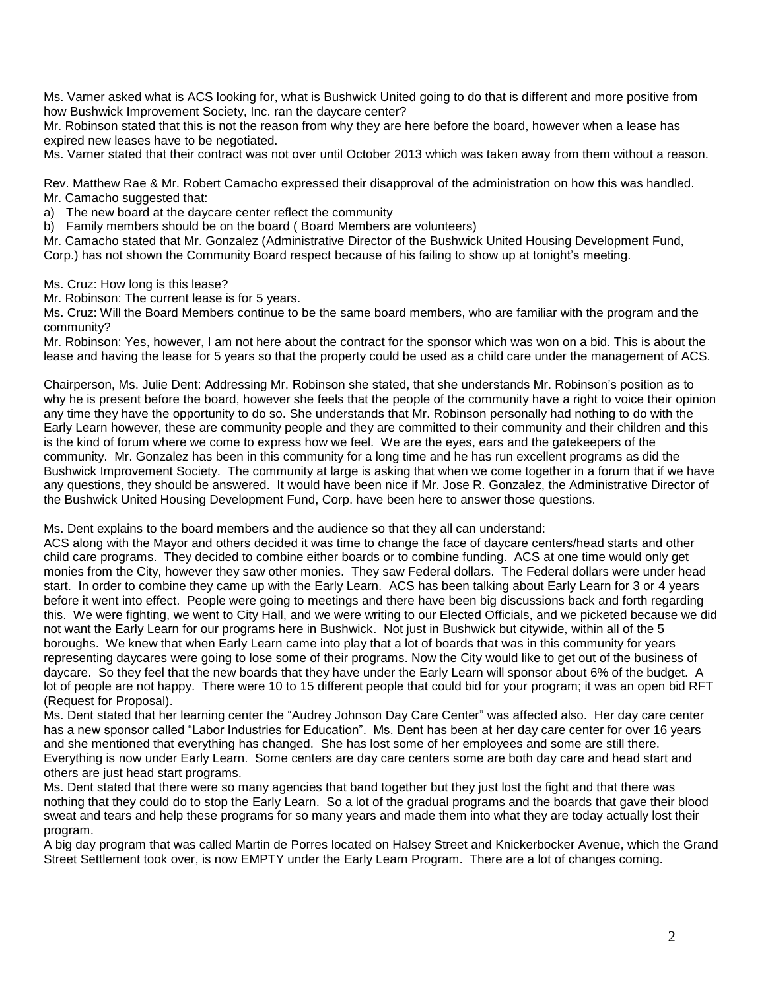Ms. Varner asked what is ACS looking for, what is Bushwick United going to do that is different and more positive from how Bushwick Improvement Society, Inc. ran the daycare center?

Mr. Robinson stated that this is not the reason from why they are here before the board, however when a lease has expired new leases have to be negotiated.

Ms. Varner stated that their contract was not over until October 2013 which was taken away from them without a reason.

Rev. Matthew Rae & Mr. Robert Camacho expressed their disapproval of the administration on how this was handled. Mr. Camacho suggested that:

a) The new board at the daycare center reflect the community

b) Family members should be on the board ( Board Members are volunteers)

Mr. Camacho stated that Mr. Gonzalez (Administrative Director of the Bushwick United Housing Development Fund, Corp.) has not shown the Community Board respect because of his failing to show up at tonight's meeting.

Ms. Cruz: How long is this lease?

Mr. Robinson: The current lease is for 5 years.

Ms. Cruz: Will the Board Members continue to be the same board members, who are familiar with the program and the community?

Mr. Robinson: Yes, however, I am not here about the contract for the sponsor which was won on a bid. This is about the lease and having the lease for 5 years so that the property could be used as a child care under the management of ACS.

Chairperson, Ms. Julie Dent: Addressing Mr. Robinson she stated, that she understands Mr. Robinson's position as to why he is present before the board, however she feels that the people of the community have a right to voice their opinion any time they have the opportunity to do so. She understands that Mr. Robinson personally had nothing to do with the Early Learn however, these are community people and they are committed to their community and their children and this is the kind of forum where we come to express how we feel. We are the eyes, ears and the gatekeepers of the community. Mr. Gonzalez has been in this community for a long time and he has run excellent programs as did the Bushwick Improvement Society. The community at large is asking that when we come together in a forum that if we have any questions, they should be answered. It would have been nice if Mr. Jose R. Gonzalez, the Administrative Director of the Bushwick United Housing Development Fund, Corp. have been here to answer those questions.

Ms. Dent explains to the board members and the audience so that they all can understand:

ACS along with the Mayor and others decided it was time to change the face of daycare centers/head starts and other child care programs. They decided to combine either boards or to combine funding. ACS at one time would only get monies from the City, however they saw other monies. They saw Federal dollars. The Federal dollars were under head start. In order to combine they came up with the Early Learn. ACS has been talking about Early Learn for 3 or 4 years before it went into effect. People were going to meetings and there have been big discussions back and forth regarding this. We were fighting, we went to City Hall, and we were writing to our Elected Officials, and we picketed because we did not want the Early Learn for our programs here in Bushwick. Not just in Bushwick but citywide, within all of the 5 boroughs. We knew that when Early Learn came into play that a lot of boards that was in this community for years representing daycares were going to lose some of their programs. Now the City would like to get out of the business of daycare. So they feel that the new boards that they have under the Early Learn will sponsor about 6% of the budget. A lot of people are not happy. There were 10 to 15 different people that could bid for your program; it was an open bid RFT (Request for Proposal).

Ms. Dent stated that her learning center the "Audrey Johnson Day Care Center" was affected also. Her day care center has a new sponsor called "Labor Industries for Education". Ms. Dent has been at her day care center for over 16 years and she mentioned that everything has changed. She has lost some of her employees and some are still there. Everything is now under Early Learn. Some centers are day care centers some are both day care and head start and others are just head start programs.

Ms. Dent stated that there were so many agencies that band together but they just lost the fight and that there was nothing that they could do to stop the Early Learn. So a lot of the gradual programs and the boards that gave their blood sweat and tears and help these programs for so many years and made them into what they are today actually lost their program.

A big day program that was called Martin de Porres located on Halsey Street and Knickerbocker Avenue, which the Grand Street Settlement took over, is now EMPTY under the Early Learn Program. There are a lot of changes coming.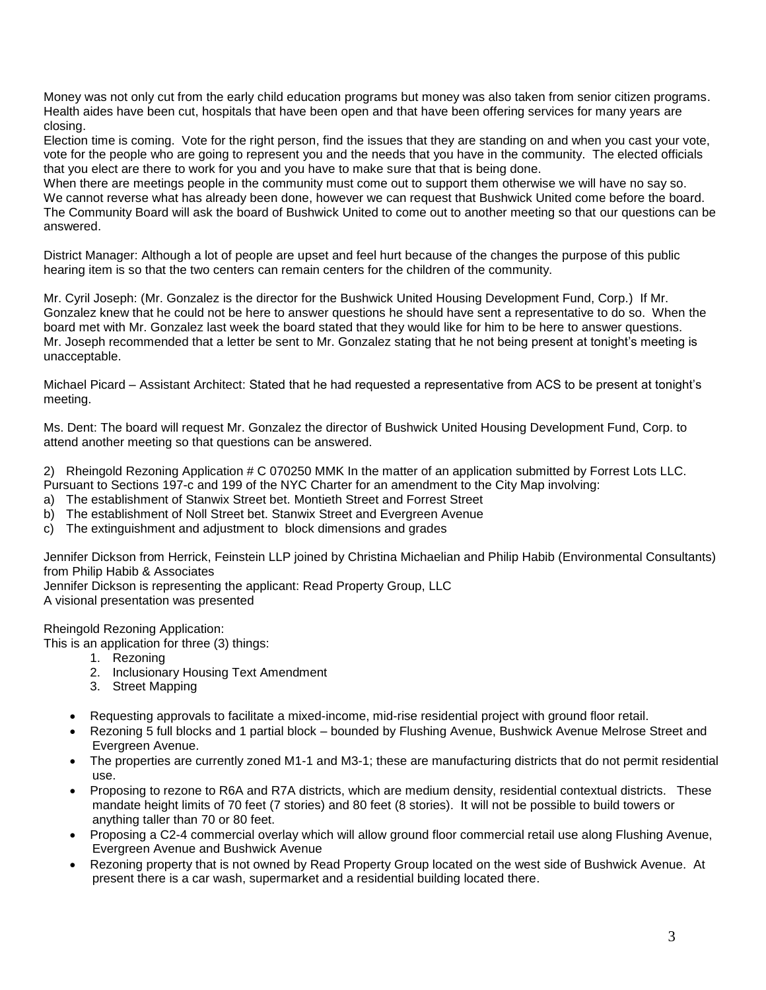Money was not only cut from the early child education programs but money was also taken from senior citizen programs. Health aides have been cut, hospitals that have been open and that have been offering services for many years are closing.

Election time is coming. Vote for the right person, find the issues that they are standing on and when you cast your vote, vote for the people who are going to represent you and the needs that you have in the community. The elected officials that you elect are there to work for you and you have to make sure that that is being done.

When there are meetings people in the community must come out to support them otherwise we will have no say so. We cannot reverse what has already been done, however we can request that Bushwick United come before the board. The Community Board will ask the board of Bushwick United to come out to another meeting so that our questions can be answered.

District Manager: Although a lot of people are upset and feel hurt because of the changes the purpose of this public hearing item is so that the two centers can remain centers for the children of the community.

Mr. Cyril Joseph: (Mr. Gonzalez is the director for the Bushwick United Housing Development Fund, Corp.) If Mr. Gonzalez knew that he could not be here to answer questions he should have sent a representative to do so. When the board met with Mr. Gonzalez last week the board stated that they would like for him to be here to answer questions. Mr. Joseph recommended that a letter be sent to Mr. Gonzalez stating that he not being present at tonight's meeting is unacceptable.

Michael Picard – Assistant Architect: Stated that he had requested a representative from ACS to be present at tonight's meeting.

Ms. Dent: The board will request Mr. Gonzalez the director of Bushwick United Housing Development Fund, Corp. to attend another meeting so that questions can be answered.

2) Rheingold Rezoning Application # C 070250 MMK In the matter of an application submitted by Forrest Lots LLC. Pursuant to Sections 197-c and 199 of the NYC Charter for an amendment to the City Map involving:

- a) The establishment of Stanwix Street bet. Montieth Street and Forrest Street
- b) The establishment of Noll Street bet. Stanwix Street and Evergreen Avenue
- c) The extinguishment and adjustment to block dimensions and grades

Jennifer Dickson from Herrick, Feinstein LLP joined by Christina Michaelian and Philip Habib (Environmental Consultants) from Philip Habib & Associates

Jennifer Dickson is representing the applicant: Read Property Group, LLC A visional presentation was presented

Rheingold Rezoning Application:

This is an application for three (3) things:

- 1. Rezoning
- 2. Inclusionary Housing Text Amendment
- 3. Street Mapping
- Requesting approvals to facilitate a mixed-income, mid-rise residential project with ground floor retail.
- Rezoning 5 full blocks and 1 partial block bounded by Flushing Avenue, Bushwick Avenue Melrose Street and Evergreen Avenue.
- The properties are currently zoned M1-1 and M3-1; these are manufacturing districts that do not permit residential use.
- Proposing to rezone to R6A and R7A districts, which are medium density, residential contextual districts. These mandate height limits of 70 feet (7 stories) and 80 feet (8 stories). It will not be possible to build towers or anything taller than 70 or 80 feet.
- Proposing a C2-4 commercial overlay which will allow ground floor commercial retail use along Flushing Avenue, Evergreen Avenue and Bushwick Avenue
- Rezoning property that is not owned by Read Property Group located on the west side of Bushwick Avenue. At present there is a car wash, supermarket and a residential building located there.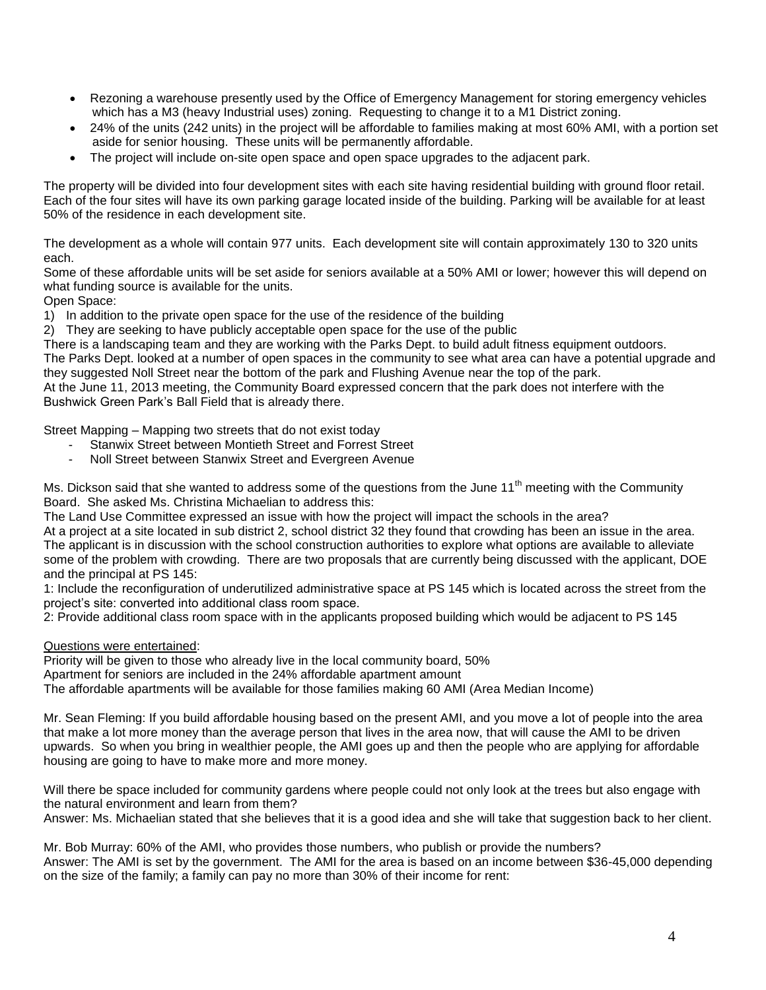- Rezoning a warehouse presently used by the Office of Emergency Management for storing emergency vehicles which has a M3 (heavy Industrial uses) zoning. Requesting to change it to a M1 District zoning.
- 24% of the units (242 units) in the project will be affordable to families making at most 60% AMI, with a portion set aside for senior housing. These units will be permanently affordable.
- The project will include on-site open space and open space upgrades to the adjacent park.

The property will be divided into four development sites with each site having residential building with ground floor retail. Each of the four sites will have its own parking garage located inside of the building. Parking will be available for at least 50% of the residence in each development site.

The development as a whole will contain 977 units. Each development site will contain approximately 130 to 320 units each.

Some of these affordable units will be set aside for seniors available at a 50% AMI or lower; however this will depend on what funding source is available for the units.

Open Space:

1) In addition to the private open space for the use of the residence of the building

2) They are seeking to have publicly acceptable open space for the use of the public

There is a landscaping team and they are working with the Parks Dept. to build adult fitness equipment outdoors.

The Parks Dept. looked at a number of open spaces in the community to see what area can have a potential upgrade and they suggested Noll Street near the bottom of the park and Flushing Avenue near the top of the park.

At the June 11, 2013 meeting, the Community Board expressed concern that the park does not interfere with the Bushwick Green Park's Ball Field that is already there.

Street Mapping – Mapping two streets that do not exist today

- Stanwix Street between Montieth Street and Forrest Street
- Noll Street between Stanwix Street and Evergreen Avenue

Ms. Dickson said that she wanted to address some of the questions from the June 11<sup>th</sup> meeting with the Community Board. She asked Ms. Christina Michaelian to address this:

The Land Use Committee expressed an issue with how the project will impact the schools in the area?

At a project at a site located in sub district 2, school district 32 they found that crowding has been an issue in the area. The applicant is in discussion with the school construction authorities to explore what options are available to alleviate some of the problem with crowding. There are two proposals that are currently being discussed with the applicant, DOE and the principal at PS 145:

1: Include the reconfiguration of underutilized administrative space at PS 145 which is located across the street from the project's site: converted into additional class room space.

2: Provide additional class room space with in the applicants proposed building which would be adjacent to PS 145

Questions were entertained:

Priority will be given to those who already live in the local community board, 50%

Apartment for seniors are included in the 24% affordable apartment amount

The affordable apartments will be available for those families making 60 AMI (Area Median Income)

Mr. Sean Fleming: If you build affordable housing based on the present AMI, and you move a lot of people into the area that make a lot more money than the average person that lives in the area now, that will cause the AMI to be driven upwards. So when you bring in wealthier people, the AMI goes up and then the people who are applying for affordable housing are going to have to make more and more money.

Will there be space included for community gardens where people could not only look at the trees but also engage with the natural environment and learn from them?

Answer: Ms. Michaelian stated that she believes that it is a good idea and she will take that suggestion back to her client.

Mr. Bob Murray: 60% of the AMI, who provides those numbers, who publish or provide the numbers? Answer: The AMI is set by the government. The AMI for the area is based on an income between \$36-45,000 depending on the size of the family; a family can pay no more than 30% of their income for rent: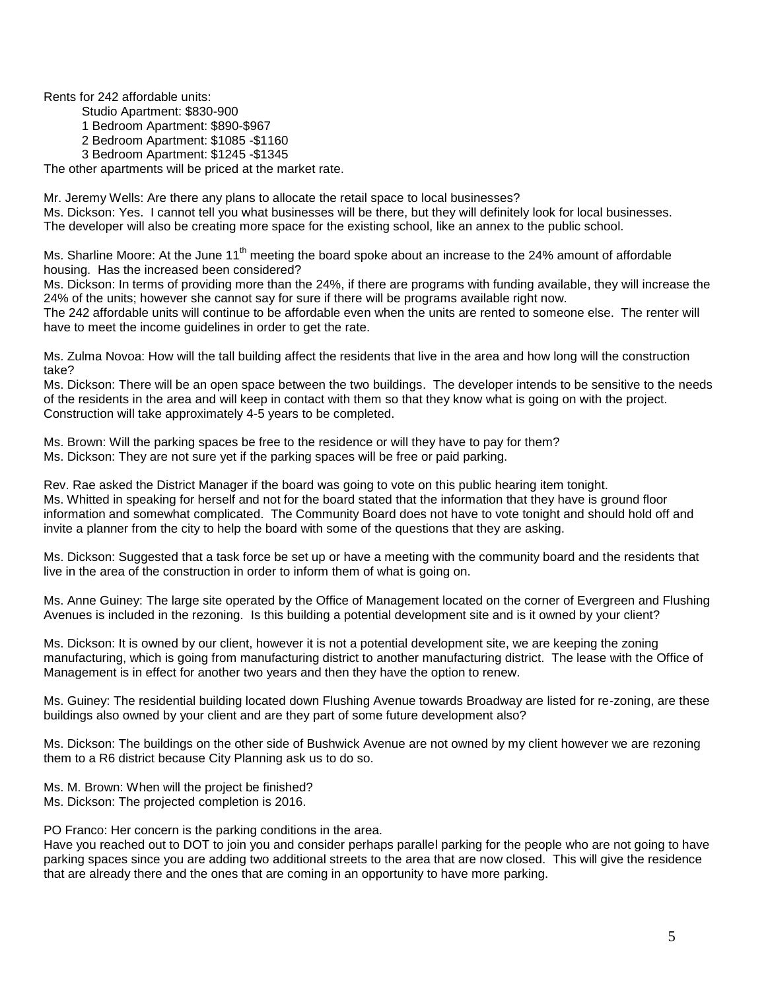Rents for 242 affordable units:

Studio Apartment: \$830-900

1 Bedroom Apartment: \$890-\$967

2 Bedroom Apartment: \$1085 -\$1160

3 Bedroom Apartment: \$1245 -\$1345

The other apartments will be priced at the market rate.

Mr. Jeremy Wells: Are there any plans to allocate the retail space to local businesses? Ms. Dickson: Yes. I cannot tell you what businesses will be there, but they will definitely look for local businesses. The developer will also be creating more space for the existing school, like an annex to the public school.

Ms. Sharline Moore: At the June 11<sup>th</sup> meeting the board spoke about an increase to the 24% amount of affordable housing. Has the increased been considered?

Ms. Dickson: In terms of providing more than the 24%, if there are programs with funding available, they will increase the 24% of the units; however she cannot say for sure if there will be programs available right now.

The 242 affordable units will continue to be affordable even when the units are rented to someone else. The renter will have to meet the income guidelines in order to get the rate.

Ms. Zulma Novoa: How will the tall building affect the residents that live in the area and how long will the construction take?

Ms. Dickson: There will be an open space between the two buildings. The developer intends to be sensitive to the needs of the residents in the area and will keep in contact with them so that they know what is going on with the project. Construction will take approximately 4-5 years to be completed.

Ms. Brown: Will the parking spaces be free to the residence or will they have to pay for them? Ms. Dickson: They are not sure yet if the parking spaces will be free or paid parking.

Rev. Rae asked the District Manager if the board was going to vote on this public hearing item tonight. Ms. Whitted in speaking for herself and not for the board stated that the information that they have is ground floor information and somewhat complicated. The Community Board does not have to vote tonight and should hold off and invite a planner from the city to help the board with some of the questions that they are asking.

Ms. Dickson: Suggested that a task force be set up or have a meeting with the community board and the residents that live in the area of the construction in order to inform them of what is going on.

Ms. Anne Guiney: The large site operated by the Office of Management located on the corner of Evergreen and Flushing Avenues is included in the rezoning. Is this building a potential development site and is it owned by your client?

Ms. Dickson: It is owned by our client, however it is not a potential development site, we are keeping the zoning manufacturing, which is going from manufacturing district to another manufacturing district. The lease with the Office of Management is in effect for another two years and then they have the option to renew.

Ms. Guiney: The residential building located down Flushing Avenue towards Broadway are listed for re-zoning, are these buildings also owned by your client and are they part of some future development also?

Ms. Dickson: The buildings on the other side of Bushwick Avenue are not owned by my client however we are rezoning them to a R6 district because City Planning ask us to do so.

Ms. M. Brown: When will the project be finished?

Ms. Dickson: The projected completion is 2016.

PO Franco: Her concern is the parking conditions in the area.

Have you reached out to DOT to join you and consider perhaps parallel parking for the people who are not going to have parking spaces since you are adding two additional streets to the area that are now closed. This will give the residence that are already there and the ones that are coming in an opportunity to have more parking.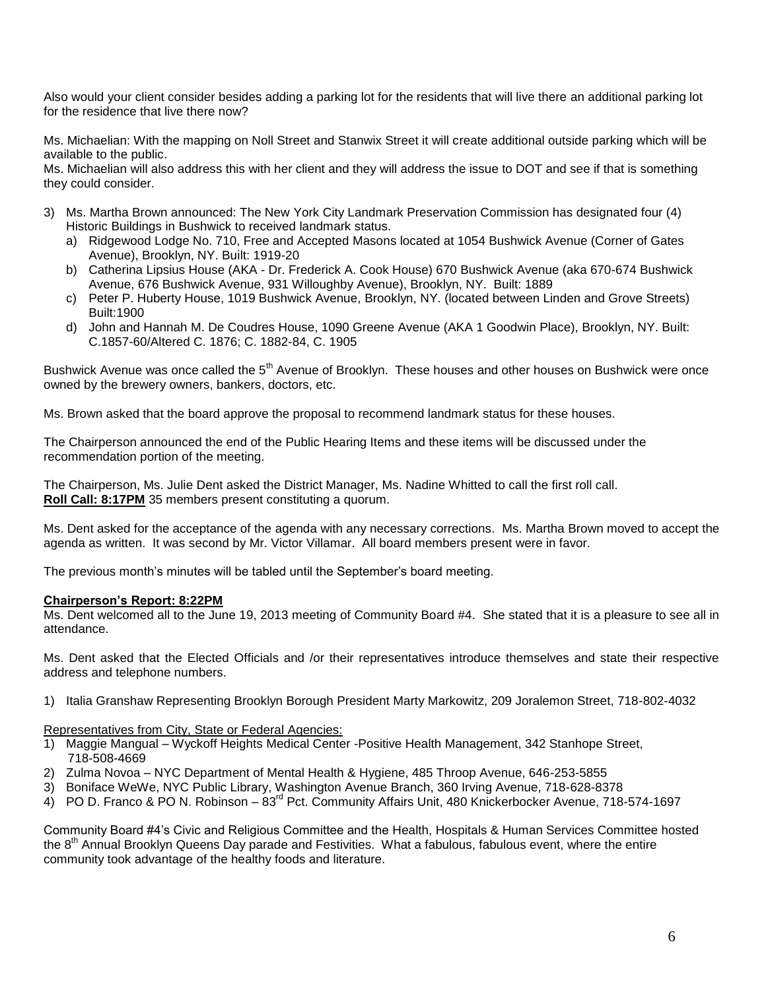Also would your client consider besides adding a parking lot for the residents that will live there an additional parking lot for the residence that live there now?

Ms. Michaelian: With the mapping on Noll Street and Stanwix Street it will create additional outside parking which will be available to the public.

Ms. Michaelian will also address this with her client and they will address the issue to DOT and see if that is something they could consider.

- 3) Ms. Martha Brown announced: The New York City Landmark Preservation Commission has designated four (4) Historic Buildings in Bushwick to received landmark status.
	- a) Ridgewood Lodge No. 710, Free and Accepted Masons located at 1054 Bushwick Avenue (Corner of Gates Avenue), Brooklyn, NY. Built: 1919-20
	- b) Catherina Lipsius House (AKA Dr. Frederick A. Cook House) 670 Bushwick Avenue (aka 670-674 Bushwick Avenue, 676 Bushwick Avenue, 931 Willoughby Avenue), Brooklyn, NY. Built: 1889
	- c) Peter P. Huberty House, 1019 Bushwick Avenue, Brooklyn, NY. (located between Linden and Grove Streets) Built:1900
	- d) John and Hannah M. De Coudres House, 1090 Greene Avenue (AKA 1 Goodwin Place), Brooklyn, NY. Built: C.1857-60/Altered C. 1876; C. 1882-84, C. 1905

Bushwick Avenue was once called the 5<sup>th</sup> Avenue of Brooklyn. These houses and other houses on Bushwick were once owned by the brewery owners, bankers, doctors, etc.

Ms. Brown asked that the board approve the proposal to recommend landmark status for these houses.

The Chairperson announced the end of the Public Hearing Items and these items will be discussed under the recommendation portion of the meeting.

The Chairperson, Ms. Julie Dent asked the District Manager, Ms. Nadine Whitted to call the first roll call. **Roll Call: 8:17PM** 35 members present constituting a quorum.

Ms. Dent asked for the acceptance of the agenda with any necessary corrections. Ms. Martha Brown moved to accept the agenda as written. It was second by Mr. Victor Villamar. All board members present were in favor.

The previous month's minutes will be tabled until the September's board meeting.

#### **Chairperson's Report: 8:22PM**

Ms. Dent welcomed all to the June 19, 2013 meeting of Community Board #4. She stated that it is a pleasure to see all in attendance.

Ms. Dent asked that the Elected Officials and /or their representatives introduce themselves and state their respective address and telephone numbers.

1) Italia Granshaw Representing Brooklyn Borough President Marty Markowitz, 209 Joralemon Street, 718-802-4032

## Representatives from City, State or Federal Agencies:

- 1) Maggie Mangual Wyckoff Heights Medical Center -Positive Health Management, 342 Stanhope Street, 718-508-4669
- 2) Zulma Novoa NYC Department of Mental Health & Hygiene, 485 Throop Avenue, 646-253-5855
- 3) Boniface WeWe, NYC Public Library, Washington Avenue Branch, 360 Irving Avenue, 718-628-8378
- 4) PO D. Franco & PO N. Robinson 83<sup>rd</sup> Pct. Community Affairs Unit, 480 Knickerbocker Avenue, 718-574-1697

Community Board #4's Civic and Religious Committee and the Health, Hospitals & Human Services Committee hosted the 8<sup>th</sup> Annual Brooklyn Queens Day parade and Festivities. What a fabulous, fabulous event, where the entire community took advantage of the healthy foods and literature.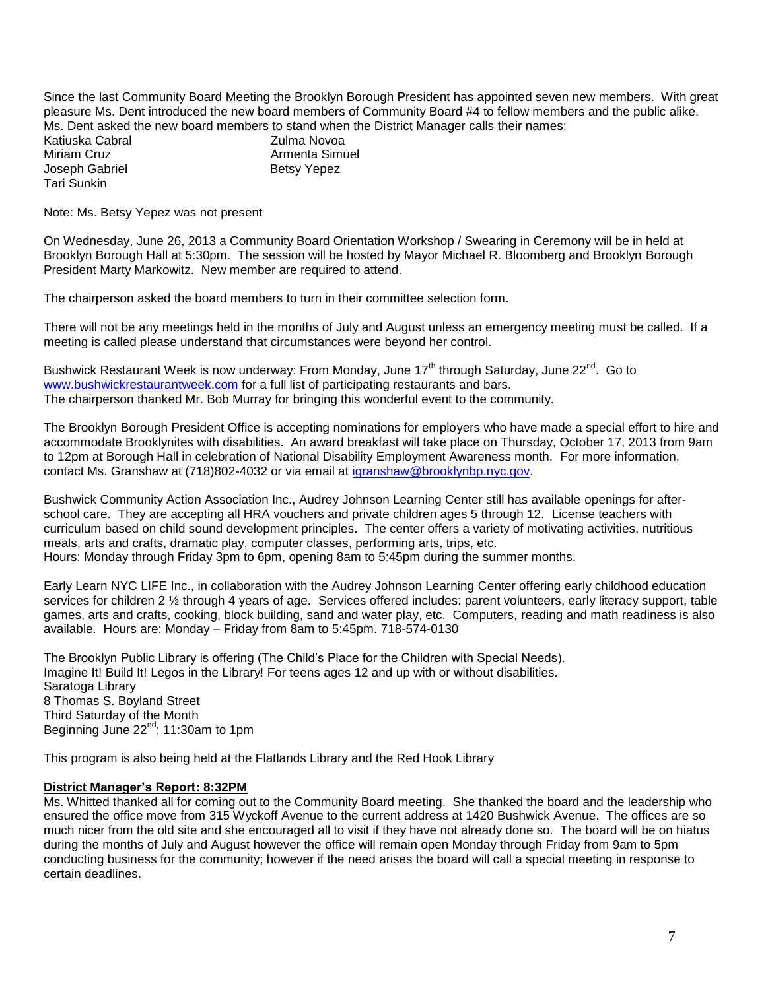Since the last Community Board Meeting the Brooklyn Borough President has appointed seven new members. With great pleasure Ms. Dent introduced the new board members of Community Board #4 to fellow members and the public alike. Ms. Dent asked the new board members to stand when the District Manager calls their names:

Katiuska Cabral **Zulma Novoa** Miriam Cruz **Armenta** Simuel Joseph Gabriel **Betsy Yepez** Tari Sunkin

Note: Ms. Betsy Yepez was not present

On Wednesday, June 26, 2013 a Community Board Orientation Workshop / Swearing in Ceremony will be in held at Brooklyn Borough Hall at 5:30pm. The session will be hosted by Mayor Michael R. Bloomberg and Brooklyn Borough President Marty Markowitz. New member are required to attend.

The chairperson asked the board members to turn in their committee selection form.

There will not be any meetings held in the months of July and August unless an emergency meeting must be called. If a meeting is called please understand that circumstances were beyond her control.

Bushwick Restaurant Week is now underway: From Monday, June 17<sup>th</sup> through Saturday, June 22<sup>nd</sup>. Go to [www.bushwickrestaurantweek.com](http://www.bushwickrestaurantweek.com/) for a full list of participating restaurants and bars. The chairperson thanked Mr. Bob Murray for bringing this wonderful event to the community.

The Brooklyn Borough President Office is accepting nominations for employers who have made a special effort to hire and accommodate Brooklynites with disabilities. An award breakfast will take place on Thursday, October 17, 2013 from 9am to 12pm at Borough Hall in celebration of National Disability Employment Awareness month. For more information, contact Ms. Granshaw at (718)802-4032 or via email at [igranshaw@brooklynbp.nyc.gov.](mailto:igranshaw@brooklynbp.nyc.gov)

Bushwick Community Action Association Inc., Audrey Johnson Learning Center still has available openings for afterschool care. They are accepting all HRA vouchers and private children ages 5 through 12. License teachers with curriculum based on child sound development principles. The center offers a variety of motivating activities, nutritious meals, arts and crafts, dramatic play, computer classes, performing arts, trips, etc. Hours: Monday through Friday 3pm to 6pm, opening 8am to 5:45pm during the summer months.

Early Learn NYC LIFE Inc., in collaboration with the Audrey Johnson Learning Center offering early childhood education services for children 2 ½ through 4 years of age. Services offered includes: parent volunteers, early literacy support, table games, arts and crafts, cooking, block building, sand and water play, etc. Computers, reading and math readiness is also available. Hours are: Monday – Friday from 8am to 5:45pm. 718-574-0130

The Brooklyn Public Library is offering (The Child's Place for the Children with Special Needs). Imagine It! Build It! Legos in the Library! For teens ages 12 and up with or without disabilities. Saratoga Library 8 Thomas S. Boyland Street Third Saturday of the Month Beginning June  $22^{nd}$ ; 11:30am to 1pm

This program is also being held at the Flatlands Library and the Red Hook Library

#### **District Manager's Report: 8:32PM**

Ms. Whitted thanked all for coming out to the Community Board meeting. She thanked the board and the leadership who ensured the office move from 315 Wyckoff Avenue to the current address at 1420 Bushwick Avenue. The offices are so much nicer from the old site and she encouraged all to visit if they have not already done so. The board will be on hiatus during the months of July and August however the office will remain open Monday through Friday from 9am to 5pm conducting business for the community; however if the need arises the board will call a special meeting in response to certain deadlines.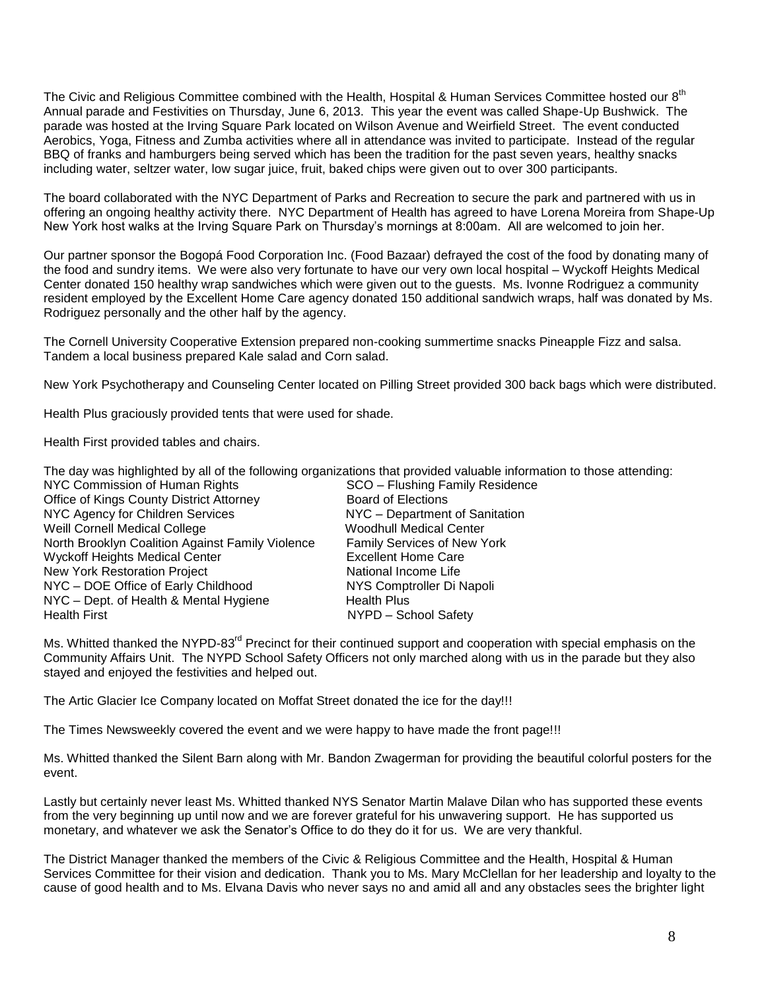The Civic and Religious Committee combined with the Health, Hospital & Human Services Committee hosted our 8<sup>th</sup> Annual parade and Festivities on Thursday, June 6, 2013. This year the event was called Shape-Up Bushwick. The parade was hosted at the Irving Square Park located on Wilson Avenue and Weirfield Street. The event conducted Aerobics, Yoga, Fitness and Zumba activities where all in attendance was invited to participate. Instead of the regular BBQ of franks and hamburgers being served which has been the tradition for the past seven years, healthy snacks including water, seltzer water, low sugar juice, fruit, baked chips were given out to over 300 participants.

The board collaborated with the NYC Department of Parks and Recreation to secure the park and partnered with us in offering an ongoing healthy activity there. NYC Department of Health has agreed to have Lorena Moreira from Shape-Up New York host walks at the Irving Square Park on Thursday's mornings at 8:00am. All are welcomed to join her.

Our partner sponsor the Bogopá Food Corporation Inc. (Food Bazaar) defrayed the cost of the food by donating many of the food and sundry items. We were also very fortunate to have our very own local hospital – Wyckoff Heights Medical Center donated 150 healthy wrap sandwiches which were given out to the guests. Ms. Ivonne Rodriguez a community resident employed by the Excellent Home Care agency donated 150 additional sandwich wraps, half was donated by Ms. Rodriguez personally and the other half by the agency.

The Cornell University Cooperative Extension prepared non-cooking summertime snacks Pineapple Fizz and salsa. Tandem a local business prepared Kale salad and Corn salad.

New York Psychotherapy and Counseling Center located on Pilling Street provided 300 back bags which were distributed.

Health Plus graciously provided tents that were used for shade.

Health First provided tables and chairs.

|  | The day was highlighted by all of the following organizations that provided valuable information to those attending: |  |  |
|--|----------------------------------------------------------------------------------------------------------------------|--|--|
|  |                                                                                                                      |  |  |

| NYC Commission of Human Rights                   | SCO - Flushing Family Residence |
|--------------------------------------------------|---------------------------------|
| <b>Office of Kings County District Attorney</b>  | <b>Board of Elections</b>       |
| NYC Agency for Children Services                 | NYC - Department of Sanitation  |
| Weill Cornell Medical College                    | <b>Woodhull Medical Center</b>  |
| North Brooklyn Coalition Against Family Violence | Family Services of New York     |
| <b>Wyckoff Heights Medical Center</b>            | <b>Excellent Home Care</b>      |
| <b>New York Restoration Project</b>              | National Income Life            |
| NYC - DOE Office of Early Childhood              | NYS Comptroller Di Napoli       |
| NYC - Dept. of Health & Mental Hygiene           | <b>Health Plus</b>              |
| <b>Health First</b>                              | NYPD - School Safety            |

Ms. Whitted thanked the NYPD-83<sup>rd</sup> Precinct for their continued support and cooperation with special emphasis on the Community Affairs Unit. The NYPD School Safety Officers not only marched along with us in the parade but they also stayed and enjoyed the festivities and helped out.

The Artic Glacier Ice Company located on Moffat Street donated the ice for the day!!!

The Times Newsweekly covered the event and we were happy to have made the front page!!!

Ms. Whitted thanked the Silent Barn along with Mr. Bandon Zwagerman for providing the beautiful colorful posters for the event.

Lastly but certainly never least Ms. Whitted thanked NYS Senator Martin Malave Dilan who has supported these events from the very beginning up until now and we are forever grateful for his unwavering support. He has supported us monetary, and whatever we ask the Senator's Office to do they do it for us. We are very thankful.

The District Manager thanked the members of the Civic & Religious Committee and the Health, Hospital & Human Services Committee for their vision and dedication. Thank you to Ms. Mary McClellan for her leadership and loyalty to the cause of good health and to Ms. Elvana Davis who never says no and amid all and any obstacles sees the brighter light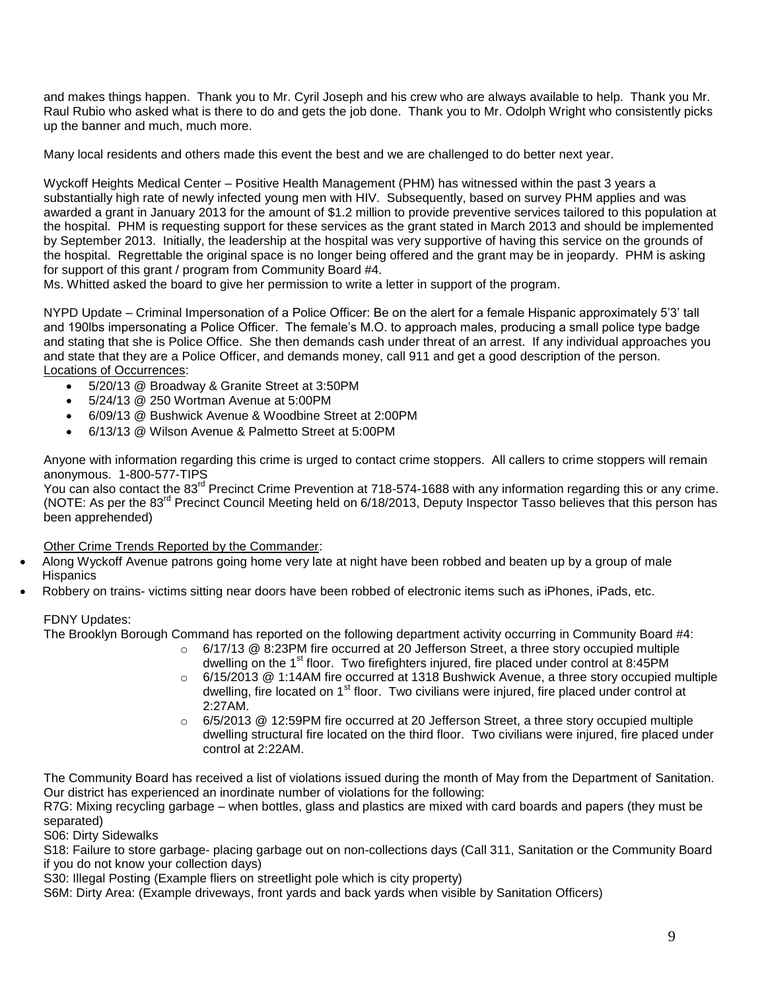and makes things happen. Thank you to Mr. Cyril Joseph and his crew who are always available to help. Thank you Mr. Raul Rubio who asked what is there to do and gets the job done. Thank you to Mr. Odolph Wright who consistently picks up the banner and much, much more.

Many local residents and others made this event the best and we are challenged to do better next year.

Wyckoff Heights Medical Center – Positive Health Management (PHM) has witnessed within the past 3 years a substantially high rate of newly infected young men with HIV. Subsequently, based on survey PHM applies and was awarded a grant in January 2013 for the amount of \$1.2 million to provide preventive services tailored to this population at the hospital. PHM is requesting support for these services as the grant stated in March 2013 and should be implemented by September 2013. Initially, the leadership at the hospital was very supportive of having this service on the grounds of the hospital. Regrettable the original space is no longer being offered and the grant may be in jeopardy. PHM is asking for support of this grant / program from Community Board #4.

Ms. Whitted asked the board to give her permission to write a letter in support of the program.

NYPD Update – Criminal Impersonation of a Police Officer: Be on the alert for a female Hispanic approximately 5'3' tall and 190lbs impersonating a Police Officer. The female's M.O. to approach males, producing a small police type badge and stating that she is Police Office. She then demands cash under threat of an arrest. If any individual approaches you and state that they are a Police Officer, and demands money, call 911 and get a good description of the person. Locations of Occurrences:

- 5/20/13 @ Broadway & Granite Street at 3:50PM
- 5/24/13 @ 250 Wortman Avenue at 5:00PM
- 6/09/13 @ Bushwick Avenue & Woodbine Street at 2:00PM
- 6/13/13 @ Wilson Avenue & Palmetto Street at 5:00PM

Anyone with information regarding this crime is urged to contact crime stoppers. All callers to crime stoppers will remain anonymous. 1-800-577-TIPS

You can also contact the 83<sup>rd</sup> Precinct Crime Prevention at 718-574-1688 with any information regarding this or any crime. (NOTE: As per the 83<sup>rd</sup> Precinct Council Meeting held on 6/18/2013, Deputy Inspector Tasso believes that this person has been apprehended)

Other Crime Trends Reported by the Commander:

- Along Wyckoff Avenue patrons going home very late at night have been robbed and beaten up by a group of male **Hispanics**
- Robbery on trains- victims sitting near doors have been robbed of electronic items such as iPhones, iPads, etc.

#### FDNY Updates:

The Brooklyn Borough Command has reported on the following department activity occurring in Community Board #4:

- o 6/17/13 @ 8:23PM fire occurred at 20 Jefferson Street, a three story occupied multiple dwelling on the  $1^{\text{st}}$  floor. Two firefighters injured, fire placed under control at 8:45PM
- o 6/15/2013 @ 1:14AM fire occurred at 1318 Bushwick Avenue, a three story occupied multiple dwelling, fire located on 1<sup>st</sup> floor. Two civilians were injured, fire placed under control at 2:27AM.
- $\circ$  6/5/2013 @ 12:59PM fire occurred at 20 Jefferson Street, a three story occupied multiple dwelling structural fire located on the third floor. Two civilians were injured, fire placed under control at 2:22AM.

The Community Board has received a list of violations issued during the month of May from the Department of Sanitation. Our district has experienced an inordinate number of violations for the following:

R7G: Mixing recycling garbage – when bottles, glass and plastics are mixed with card boards and papers (they must be separated)

S06: Dirty Sidewalks

S18: Failure to store garbage- placing garbage out on non-collections days (Call 311, Sanitation or the Community Board if you do not know your collection days)

S30: Illegal Posting (Example fliers on streetlight pole which is city property)

S6M: Dirty Area: (Example driveways, front yards and back yards when visible by Sanitation Officers)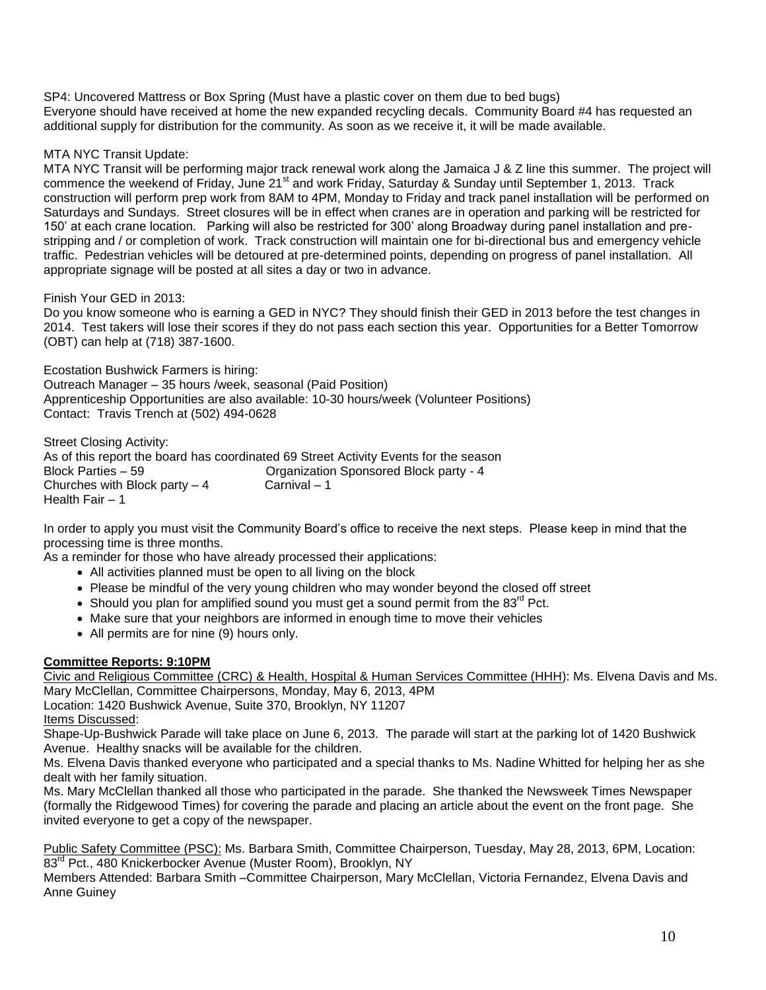SP4: Uncovered Mattress or Box Spring (Must have a plastic cover on them due to bed bugs) Everyone should have received at home the new expanded recycling decals. Community Board #4 has requested an additional supply for distribution for the community. As soon as we receive it, it will be made available.

# MTA NYC Transit Update:

MTA NYC Transit will be performing major track renewal work along the Jamaica J & Z line this summer. The project will commence the weekend of Friday, June 21<sup>st</sup> and work Friday, Saturday & Sunday until September 1, 2013. Track construction will perform prep work from 8AM to 4PM, Monday to Friday and track panel installation will be performed on Saturdays and Sundays. Street closures will be in effect when cranes are in operation and parking will be restricted for 150' at each crane location. Parking will also be restricted for 300' along Broadway during panel installation and prestripping and / or completion of work. Track construction will maintain one for bi-directional bus and emergency vehicle traffic. Pedestrian vehicles will be detoured at pre-determined points, depending on progress of panel installation. All appropriate signage will be posted at all sites a day or two in advance.

Finish Your GED in 2013:

Do you know someone who is earning a GED in NYC? They should finish their GED in 2013 before the test changes in 2014. Test takers will lose their scores if they do not pass each section this year. Opportunities for a Better Tomorrow (OBT) can help at (718) 387-1600.

Ecostation Bushwick Farmers is hiring: Outreach Manager – 35 hours /week, seasonal (Paid Position) Apprenticeship Opportunities are also available: 10-30 hours/week (Volunteer Positions) Contact: Travis Trench at (502) 494-0628

Street Closing Activity: As of this report the board has coordinated 69 Street Activity Events for the season Block Parties – 59 Organization Sponsored Block party - 4 Churches with Block party  $-4$  Carnival  $-1$ Health Fair – 1

In order to apply you must visit the Community Board's office to receive the next steps. Please keep in mind that the processing time is three months.

As a reminder for those who have already processed their applications:

- All activities planned must be open to all living on the block
- Please be mindful of the very young children who may wonder beyond the closed off street
- $\bullet$  Should you plan for amplified sound you must get a sound permit from the 83 $^{\text{rd}}$  Pct.
- Make sure that your neighbors are informed in enough time to move their vehicles
- All permits are for nine (9) hours only.

## **Committee Reports: 9:10PM**

Civic and Religious Committee (CRC) & Health, Hospital & Human Services Committee (HHH): Ms. Elvena Davis and Ms. Mary McClellan, Committee Chairpersons, Monday, May 6, 2013, 4PM

Location: 1420 Bushwick Avenue, Suite 370, Brooklyn, NY 11207 Items Discussed:

Shape-Up-Bushwick Parade will take place on June 6, 2013. The parade will start at the parking lot of 1420 Bushwick Avenue. Healthy snacks will be available for the children.

Ms. Elvena Davis thanked everyone who participated and a special thanks to Ms. Nadine Whitted for helping her as she dealt with her family situation.

Ms. Mary McClellan thanked all those who participated in the parade. She thanked the Newsweek Times Newspaper (formally the Ridgewood Times) for covering the parade and placing an article about the event on the front page. She invited everyone to get a copy of the newspaper.

Public Safety Committee (PSC): Ms. Barbara Smith, Committee Chairperson, Tuesday, May 28, 2013, 6PM, Location: 83<sup>rd</sup> Pct., 480 Knickerbocker Avenue (Muster Room), Brooklyn, NY

Members Attended: Barbara Smith –Committee Chairperson, Mary McClellan, Victoria Fernandez, Elvena Davis and Anne Guiney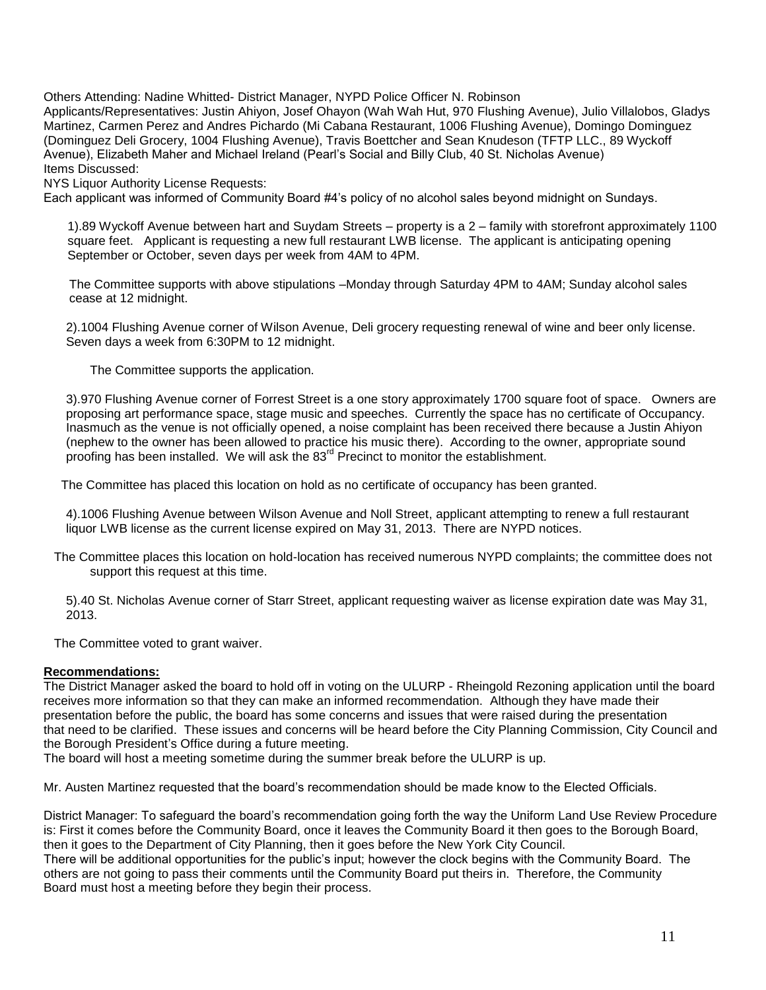Others Attending: Nadine Whitted- District Manager, NYPD Police Officer N. Robinson

Applicants/Representatives: Justin Ahiyon, Josef Ohayon (Wah Wah Hut, 970 Flushing Avenue), Julio Villalobos, Gladys Martinez, Carmen Perez and Andres Pichardo (Mi Cabana Restaurant, 1006 Flushing Avenue), Domingo Dominguez (Dominguez Deli Grocery, 1004 Flushing Avenue), Travis Boettcher and Sean Knudeson (TFTP LLC., 89 Wyckoff Avenue), Elizabeth Maher and Michael Ireland (Pearl's Social and Billy Club, 40 St. Nicholas Avenue) Items Discussed:

NYS Liquor Authority License Requests:

Each applicant was informed of Community Board #4's policy of no alcohol sales beyond midnight on Sundays.

1).89 Wyckoff Avenue between hart and Suydam Streets – property is a 2 – family with storefront approximately 1100 square feet. Applicant is requesting a new full restaurant LWB license. The applicant is anticipating opening September or October, seven days per week from 4AM to 4PM.

 The Committee supports with above stipulations –Monday through Saturday 4PM to 4AM; Sunday alcohol sales cease at 12 midnight.

2).1004 Flushing Avenue corner of Wilson Avenue, Deli grocery requesting renewal of wine and beer only license. Seven days a week from 6:30PM to 12 midnight.

The Committee supports the application.

3).970 Flushing Avenue corner of Forrest Street is a one story approximately 1700 square foot of space. Owners are proposing art performance space, stage music and speeches. Currently the space has no certificate of Occupancy. Inasmuch as the venue is not officially opened, a noise complaint has been received there because a Justin Ahiyon (nephew to the owner has been allowed to practice his music there). According to the owner, appropriate sound proofing has been installed. We will ask the  $83<sup>rd</sup>$  Precinct to monitor the establishment.

The Committee has placed this location on hold as no certificate of occupancy has been granted.

4).1006 Flushing Avenue between Wilson Avenue and Noll Street, applicant attempting to renew a full restaurant liquor LWB license as the current license expired on May 31, 2013. There are NYPD notices.

 The Committee places this location on hold-location has received numerous NYPD complaints; the committee does not support this request at this time.

5).40 St. Nicholas Avenue corner of Starr Street, applicant requesting waiver as license expiration date was May 31, 2013.

The Committee voted to grant waiver.

#### **Recommendations:**

The District Manager asked the board to hold off in voting on the ULURP - Rheingold Rezoning application until the board receives more information so that they can make an informed recommendation. Although they have made their presentation before the public, the board has some concerns and issues that were raised during the presentation that need to be clarified. These issues and concerns will be heard before the City Planning Commission, City Council and the Borough President's Office during a future meeting.

The board will host a meeting sometime during the summer break before the ULURP is up.

Mr. Austen Martinez requested that the board's recommendation should be made know to the Elected Officials.

District Manager: To safeguard the board's recommendation going forth the way the Uniform Land Use Review Procedure is: First it comes before the Community Board, once it leaves the Community Board it then goes to the Borough Board, then it goes to the Department of City Planning, then it goes before the New York City Council.

There will be additional opportunities for the public's input; however the clock begins with the Community Board. The others are not going to pass their comments until the Community Board put theirs in. Therefore, the Community Board must host a meeting before they begin their process.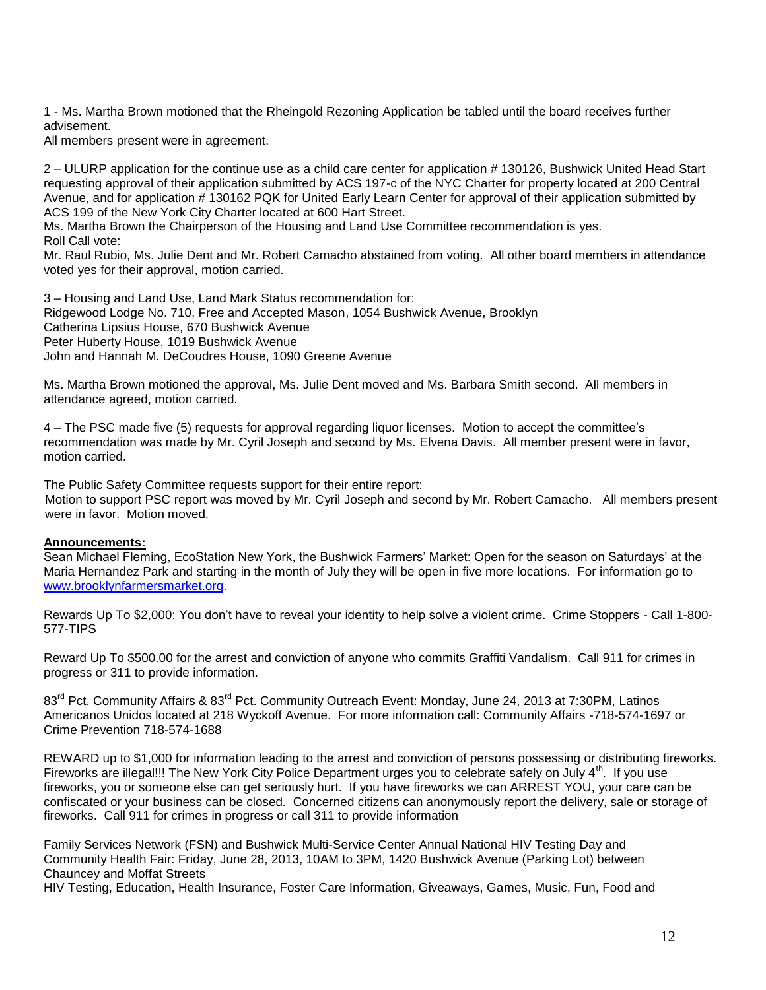1 - Ms. Martha Brown motioned that the Rheingold Rezoning Application be tabled until the board receives further advisement.

All members present were in agreement.

2 – ULURP application for the continue use as a child care center for application # 130126, Bushwick United Head Start requesting approval of their application submitted by ACS 197-c of the NYC Charter for property located at 200 Central Avenue, and for application # 130162 PQK for United Early Learn Center for approval of their application submitted by ACS 199 of the New York City Charter located at 600 Hart Street.

Ms. Martha Brown the Chairperson of the Housing and Land Use Committee recommendation is yes.

Roll Call vote:

Mr. Raul Rubio, Ms. Julie Dent and Mr. Robert Camacho abstained from voting. All other board members in attendance voted yes for their approval, motion carried.

3 – Housing and Land Use, Land Mark Status recommendation for: Ridgewood Lodge No. 710, Free and Accepted Mason, 1054 Bushwick Avenue, Brooklyn Catherina Lipsius House, 670 Bushwick Avenue Peter Huberty House, 1019 Bushwick Avenue John and Hannah M. DeCoudres House, 1090 Greene Avenue

Ms. Martha Brown motioned the approval, Ms. Julie Dent moved and Ms. Barbara Smith second. All members in attendance agreed, motion carried.

4 – The PSC made five (5) requests for approval regarding liquor licenses. Motion to accept the committee's recommendation was made by Mr. Cyril Joseph and second by Ms. Elvena Davis. All member present were in favor, motion carried.

The Public Safety Committee requests support for their entire report: Motion to support PSC report was moved by Mr. Cyril Joseph and second by Mr. Robert Camacho. All members present were in favor. Motion moved.

#### **Announcements:**

Sean Michael Fleming, EcoStation New York, the Bushwick Farmers' Market: Open for the season on Saturdays' at the Maria Hernandez Park and starting in the month of July they will be open in five more locations. For information go to [www.brooklynfarmersmarket.org.](http://www.brooklynfarmersmarket.org/)

Rewards Up To \$2,000: You don't have to reveal your identity to help solve a violent crime. Crime Stoppers - Call 1-800- 577-TIPS

Reward Up To \$500.00 for the arrest and conviction of anyone who commits Graffiti Vandalism. Call 911 for crimes in progress or 311 to provide information.

83<sup>rd</sup> Pct. Community Affairs & 83<sup>rd</sup> Pct. Community Outreach Event: Monday, June 24, 2013 at 7:30PM, Latinos Americanos Unidos located at 218 Wyckoff Avenue. For more information call: Community Affairs -718-574-1697 or Crime Prevention 718-574-1688

REWARD up to \$1,000 for information leading to the arrest and conviction of persons possessing or distributing fireworks. Fireworks are illegal!!! The New York City Police Department urges you to celebrate safely on July 4<sup>th</sup>. If you use fireworks, you or someone else can get seriously hurt. If you have fireworks we can ARREST YOU, your care can be confiscated or your business can be closed. Concerned citizens can anonymously report the delivery, sale or storage of fireworks. Call 911 for crimes in progress or call 311 to provide information

Family Services Network (FSN) and Bushwick Multi-Service Center Annual National HIV Testing Day and Community Health Fair: Friday, June 28, 2013, 10AM to 3PM, 1420 Bushwick Avenue (Parking Lot) between Chauncey and Moffat Streets

HIV Testing, Education, Health Insurance, Foster Care Information, Giveaways, Games, Music, Fun, Food and